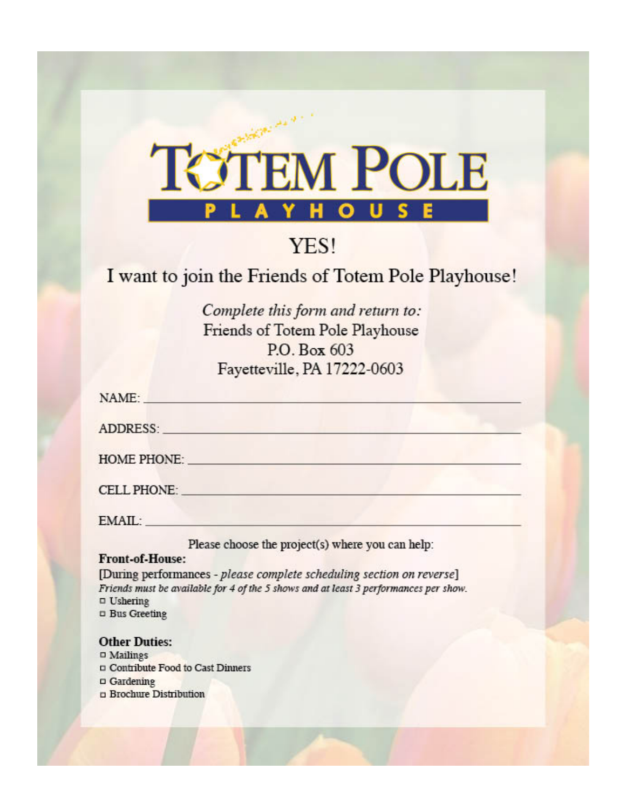

# YES!

## I want to join the Friends of Totem Pole Playhouse!

Complete this form and return to: Friends of Totem Pole Playhouse P.O. Box 603 Fayetteville, PA 17222-0603

| NAME:                                                                                                                                                                                                                          |                                                                                                                                                                                                                                |
|--------------------------------------------------------------------------------------------------------------------------------------------------------------------------------------------------------------------------------|--------------------------------------------------------------------------------------------------------------------------------------------------------------------------------------------------------------------------------|
| ADDRESS: North and the contract of the contract of the contract of the contract of the contract of the contract of the contract of the contract of the contract of the contract of the contract of the contract of the contrac |                                                                                                                                                                                                                                |
|                                                                                                                                                                                                                                | HOME PHONE: New York State State State State State State State State State State State State State State State State State State State State State State State State State State State State State State State State State Sta |
| CELL PHONE: New York State State State State State State State State State State State State State State State State State State State State State State State State State State State State State State State State State Sta |                                                                                                                                                                                                                                |
| EMAIL: The contract of the contract of the contract of the contract of the contract of the contract of the contract of the contract of the contract of the contract of the contract of the contract of the contract of the con |                                                                                                                                                                                                                                |
| Front of House                                                                                                                                                                                                                 | Please choose the project(s) where you can help:                                                                                                                                                                               |

[During performances - please complete scheduling section on reverse] Friends must be available for 4 of the 5 shows and at least 3 performances per show.  $\Box$  Ushering **¤** Bus Greeting

### **Other Duties:**

- $\Box$  Mailings
- □ Contribute Food to Cast Dinners
- $\Box$  Gardening
- D Brochure Distribution